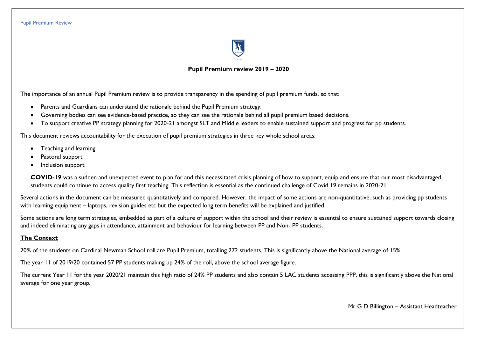

### **Pupil Premium review 2019 – 2020**

The importance of an annual Pupil Premium review is to provide transparency in the spending of pupil premium funds, so that:

- Parents and Guardians can understand the rationale behind the Pupil Premium strategy.
- Governing bodies can see evidence-based practice, so they can see the rationale behind all pupil premium based decisions.
- To support creative PP strategy planning for 2020-21 amongst SLT and Middle leaders to enable sustained support and progress for pp students.

This document reviews accountability for the execution of pupil premium strategies in three key whole school areas:

- Teaching and learning
- Pastoral support
- Inclusion support

**COVID-19** was a sudden and unexpected event to plan for and this necessitated crisis planning of how to support, equip and ensure that our most disadvantaged students could continue to access quality first teaching. This reflection is essential as the continued challenge of Covid 19 remains in 2020-21.

Several actions in the document can be measured quantitatively and compared. However, the impact of some actions are non-quantitative, such as providing pp students with learning equipment – laptops, revision guides etc but the expected long term benefits will be explained and justified.

Some actions are long term strategies, embedded as part of a culture of support within the school and their review is essential to ensure sustained support towards closing and indeed eliminating any gaps in attendance, attainment and behaviour for learning between PP and Non- PP students.

# **The Context**

20% of the students on Cardinal Newman School roll are Pupil Premium, totalling 272 students. This is significantly above the National average of 15%.

The year 11 of 2019/20 contained 57 PP students making up 24% of the roll, above the school average figure.

The current Year 11 for the year 2020/21 maintain this high ratio of 24% PP students and also contain 5 LAC students accessing PPP, this is significantly above the National average for one year group.

Mr G D Billington – Assistant Headteacher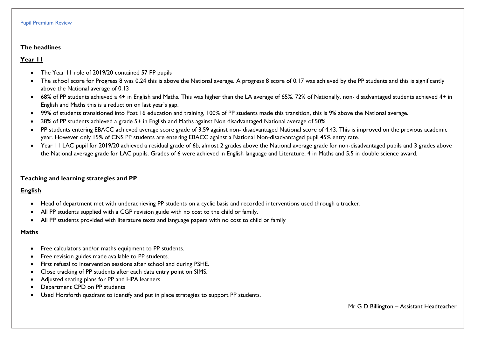#### **The headlines**

### **Year 11**

- The Year 11 role of 2019/20 contained 57 PP pupils
- The school score for Progress 8 was 0.24 this is above the National average. A progress 8 score of 0.17 was achieved by the PP students and this is significantly above the National average of 0.13
- 68% of PP students achieved a 4+ in English and Maths. This was higher than the LA average of 65%. 72% of Nationally, non- disadvantaged students achieved 4+ in English and Maths this is a reduction on last year's gap.
- 99% of students transitioned into Post 16 education and training, 100% of PP students made this transition, this is 9% above the National average.
- 38% of PP students achieved a grade 5+ in English and Maths against Non disadvantaged National average of 50%
- PP students entering EBACC achieved average score grade of 3.59 against non- disadvantaged National score of 4.43. This is improved on the previous academic year. However only 15% of CNS PP students are entering EBACC against a National Non-disadvantaged pupil 45% entry rate.
- Year 11 LAC pupil for 2019/20 achieved a residual grade of 6b, almost 2 grades above the National average grade for non-disadvantaged pupils and 3 grades above the National average grade for LAC pupils. Grades of 6 were achieved in English language and Literature, 4 in Maths and 5,5 in double science award.

### **Teaching and learning strategies and PP**

## **English**

- Head of department met with underachieving PP students on a cyclic basis and recorded interventions used through a tracker.
- All PP students supplied with a CGP revision guide with no cost to the child or family.
- All PP students provided with literature texts and language papers with no cost to child or family

# **Maths**

- Free calculators and/or maths equipment to PP students.
- Free revision guides made available to PP students.
- First refusal to intervention sessions after school and during PSHE.
- Close tracking of PP students after each data entry point on SIMS.
- Adjusted seating plans for PP and HPA learners.
- Department CPD on PP students
- Used Horsforth quadrant to identify and put in place strategies to support PP students.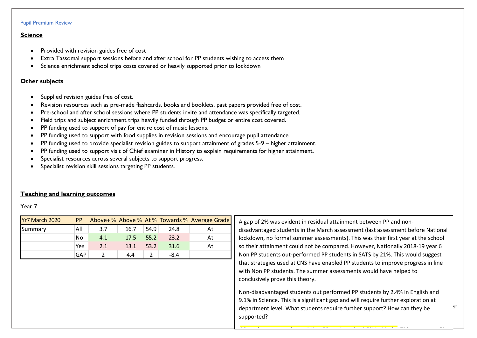### **Science**

- Provided with revision guides free of cost
- Extra Tassomai support sessions before and after school for PP students wishing to access them
- Science enrichment school trips costs covered or heavily supported prior to lockdown

### **Other subjects**

- Supplied revision guides free of cost.
- Revision resources such as pre-made flashcards, books and booklets, past papers provided free of cost.
- Pre-school and after school sessions where PP students invite and attendance was specifically targeted.
- Field trips and subject enrichment trips heavily funded through PP budget or entire cost covered.
- PP funding used to support of pay for entire cost of music lessons.
- PP funding used to support with food supplies in revision sessions and encourage pupil attendance.
- PP funding used to provide specialist revision guides to support attainment of grades 5-9 higher attainment.
- PP funding used to support visit of Chief examiner in History to explain requirements for higher attainment.
- Specialist resources across several subjects to support progress.
- Specialist revision skill sessions targeting PP students.

## **Teaching and learning outcomes**

Year 7

| Yr7 March 2020 |     |     |      |      |      | <b>PP</b> Above + % Above % At % Towards % Average Grade |
|----------------|-----|-----|------|------|------|----------------------------------------------------------|
| Summary        | All | 3.7 | 16.7 | 54.9 | 24.8 | At                                                       |
|                | No  | 4.1 | 17.5 | 55.2 | 23.2 | At                                                       |
|                | Yes | 2.1 | 13.1 | 53.2 | 31.6 | At                                                       |
|                | GAP |     | 4.4  |      | -8.4 |                                                          |

A gap of 2% was evident in residual attainment between PP and nondisadvantaged students in the March assessment (last assessment before National lockdown, no formal summer assessments). This was their first year at the school so their attainment could not be compared. However, Nationally 2018-19 year 6 Non PP students out-performed PP students in SATS by 21%. This would suggest that strategies used at CNS have enabled PP students to improve progress in line with Non PP students. The summer assessments would have helped to conclusively prove this theory.

department level. What students require further support? How can they be  $\vert \hspace{-.08cm} \vert^{\text{r}}$ Non-disadvantaged students out performed PP students by 2.4% in English and 9.1% in Science. This is a significant gap and will require further exploration at supported?

PP students out performed Non-PP students by 4.5% in Maths. This progress will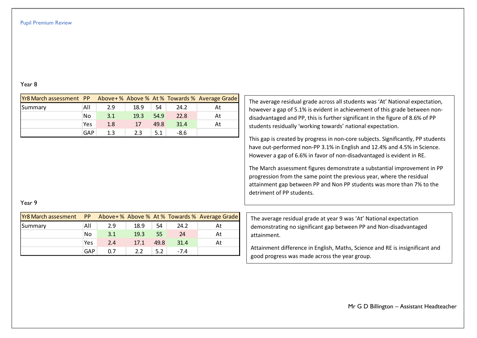### Year 8

| <b>Yr8 March assessment PP</b> |            |     |                                                                                                                                                                                                                                       |      |        | Above+% Above % At % Towards % Average Grade | The average residual grade across all students was 'At' National expectation,                                                                     |
|--------------------------------|------------|-----|---------------------------------------------------------------------------------------------------------------------------------------------------------------------------------------------------------------------------------------|------|--------|----------------------------------------------|---------------------------------------------------------------------------------------------------------------------------------------------------|
| Summary                        | All        | 2.9 | 18.9                                                                                                                                                                                                                                  | 54   | 24.2   | At                                           | however a gap of 5.1% is evident in achievement of this grade between non-                                                                        |
|                                | No         | 3.1 | 19.3                                                                                                                                                                                                                                  | 54.9 | 22.8   | At                                           | disadvantaged and PP, this is further significant in the figure of 8.6% of PP                                                                     |
|                                | Yes        | 1.8 | 17                                                                                                                                                                                                                                    | 49.8 | 31.4   | At                                           | students residually 'working towards' national expectation.                                                                                       |
|                                | <b>GAP</b> | 1.3 | 2.3                                                                                                                                                                                                                                   | 5.1  | $-8.6$ |                                              |                                                                                                                                                   |
|                                |            |     | This gap is created by progress in non-core subjects. Significantly, PP students<br>have out-performed non-PP 3.1% in English and 12.4% and 4.5% in Science.<br>However a gap of 6.6% in favor of non-disadvantaged is evident in RE. |      |        |                                              |                                                                                                                                                   |
|                                |            |     |                                                                                                                                                                                                                                       |      |        |                                              | The March assessment figures demonstrate a substantial improvement in PP<br>progression from the same point the previous year, where the residual |

### Year 9

| <b>Yr8 March assesment PP</b> Above+% Above % At % Towards % Average Grade |     |     |      |      |        |    |
|----------------------------------------------------------------------------|-----|-----|------|------|--------|----|
| Summary                                                                    | All | 2.9 | 18.9 | 54   | 24.2   | At |
|                                                                            | No  | 3.1 | 19.3 | 55   | 24     | At |
|                                                                            | Yes | 2.4 | 17.1 | 49.8 | 31.4   | At |
|                                                                            | GAP | ሰ 7 | 22   |      | $-7.4$ |    |

The average residual grade at year 9 was 'At' National expectation demonstrating no significant gap between PP and Non-disadvantaged attainment.

attainment gap between PP and Non PP students was more than 7% to the

detriment of PP students.

Attainment difference in English, Maths, Science and RE is insignificant and good progress was made across the year group.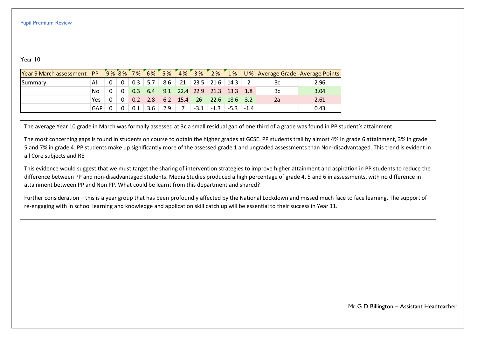## Year 10

| Year 9 March assessment PP 5% 8% 7% 6% 5% 4% 3% 2% 1% U% Average Grade Average Points |            |              |              |     |             |     |             |                           |               |        |        |    |      |
|---------------------------------------------------------------------------------------|------------|--------------|--------------|-----|-------------|-----|-------------|---------------------------|---------------|--------|--------|----|------|
| Summary                                                                               | All        | $\Omega$     | $\mathbf{0}$ | 0.3 | $\vert$ 5.7 | 8.6 | $\sqrt{21}$ | 23.5                      | 21.6          | 14.3   |        | 3c | 2.96 |
|                                                                                       | No         | $\Omega$     | $\mathbf{0}$ | 0.3 |             |     |             | $6.4$ $9.1$ $22.4$ $22.9$ | 21.3          | 13.3   |        | 3c | 3.04 |
|                                                                                       | Yes        | <sup>n</sup> | $\mathbf{0}$ |     | $0.2$ 2.8   |     |             | $6.2$ 15.4 26             | 22.6 18.6 3.2 |        |        | 2a | 2.61 |
|                                                                                       | <b>GAP</b> | n            | $\Omega$     |     | 3.6         | 2.9 |             | $-3.1$                    | $-1.3$        | $-5.3$ | $-1.4$ |    | 0.43 |

The average Year 10 grade in March was formally assessed at 3c a small residual gap of one third of a grade was found in PP student's attainment.

The most concerning gaps is found in students on course to obtain the higher grades at GCSE. PP students trail by almost 4% in grade 6 attainment, 3% in grade 5 and 7% in grade 4. PP students make up significantly more of the assessed grade 1 and ungraded assessments than Non-disadvantaged. This trend is evident in all Core subjects and RE

This evidence would suggest that we must target the sharing of intervention strategies to improve higher attainment and aspiration in PP students to reduce the difference between PP and non-disadvantaged students. Media Studies produced a high percentage of grade 4, 5 and 6 in assessments, with no difference in attainment between PP and Non PP. What could be learnt from this department and shared?

re-engaging with in school learning and knowledge and application skill catch up will be essential to their success in Year 11. Further consideration – this is a year group that has been profoundly affected by the National Lockdown and missed much face to face learning. The support of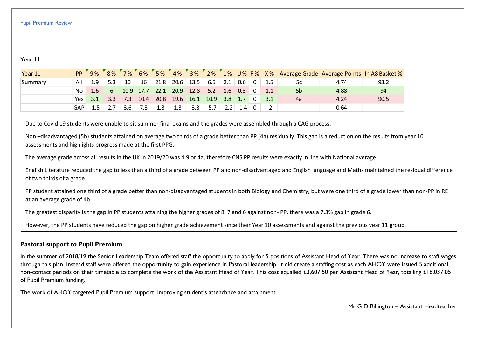## Year 11

| Year 11 | <b>PP</b> | 9%         | $8\%$ |     |           |           |           |                             |           |     |                 |                |     |                | 7% 6% 5% 4% 3% 2% 1% U% F% X% Average Grade Average Points In A8 Basket % |      |
|---------|-----------|------------|-------|-----|-----------|-----------|-----------|-----------------------------|-----------|-----|-----------------|----------------|-----|----------------|---------------------------------------------------------------------------|------|
| Summary | All       | 1.9        | 5.3   | 10  | 16        |           |           | $21.8$ 20.6 13.5            | $6.5$ 2.1 |     | 0.6             | $\overline{0}$ | 1.5 | 5c             | 4.74                                                                      | 93.2 |
|         | No.       | $-1.6$     | -67   |     | 10.9 17.7 | 22.1 20.9 |           | 12.8                        | 5.2       | 1.6 | 0.3             |                |     | 5 <sub>b</sub> | 4.88                                                                      | 94   |
|         | Yes l     | 3.1        | 3.3   | 7.3 | 10.4      |           | 20.8 19.6 | 16.1                        | 10.9      | 3.8 | $\setminus$ 1.7 | 0              | 3.1 | 4a             | 4.24                                                                      | 90.5 |
|         |           | $GAP$ -1.5 |       | 3.6 | 7.3       | 1.3       | $-1.3$    | $-3.3$ $-5.7$ $-2.2$ $-1.4$ |           |     |                 | . വ            |     |                | 0.64                                                                      |      |

Due to Covid 19 students were unable to sit summer final exams and the grades were assembled through a CAG process.

Non –disadvantaged (5b) students attained on average two thirds of a grade better than PP (4a) residually. This gap is a reduction on the results from year 10 assessments and highlights progress made at the first PPG.

The average grade across all results in the UK in 2019/20 was 4.9 or 4a, therefore CNS PP results were exactly in line with National average.

English Literature reduced the gap to less than a third of a grade between PP and non-disadvantaged and English language and Maths maintained the residual difference of two thirds of a grade.

PP student attained one third of a grade better than non-disadvantaged students in both Biology and Chemistry, but were one third of a grade lower than non-PP in RE at an average grade of 4b.

The greatest disparity is the gap in PP students attaining the higher grades of 8, 7 and 6 against non- PP. there was a 7.3% gap in grade 6.

However, the PP students have reduced the gap on higher grade achievement since their Year 10 assessments and against the previous year 11 group.

## **Pastoral support to Pupil Premium**

In the summer of 2018/19 the Senior Leadership Team offered staff the opportunity to apply for 5 positions of Assistant Head of Year. There was no increase to staff wages through this plan. Instead staff were offered the opportunity to gain experience in Pastoral leadership. It did create a staffing cost as each AHOY were issued 5 additional non-contact periods on their timetable to complete the work of the Assistant Head of Year. This cost equalled £3,607.50 per Assistant Head of Year, totalling £18,037.05 of Pupil Premium funding.

The work of AHOY targeted Pupil Premium support. Improving student's attendance and attainment.

Mr G D Billington – Assistant Headteacher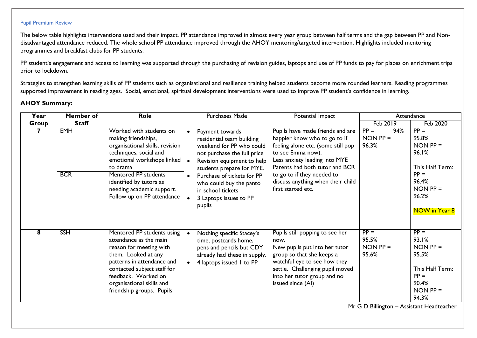The below table highlights interventions used and their impact. PP attendance improved in almost every year group between half terms and the gap between PP and Nondisadvantaged attendance reduced. The whole school PP attendance improved through the AHOY mentoring/targeted intervention. Highlights included mentoring programmes and breakfast clubs for PP students.

PP student's engagement and access to learning was supported through the purchasing of revision guides, laptops and use of PP funds to pay for places on enrichment trips prior to lockdown.

Strategies to strengthen learning skills of PP students such as organisational and resilience training helped students become more rounded learners. Reading programmes supported improvement in reading ages. Social, emotional, spiritual development interventions were used to improve PP student's confidence in learning.

# **AHOY Summary:**

| Year  | Member of                | Role                                                                                                                                                                                                                                                                | Purchases Made                                                                                                                                                                                                                                                                                                 | Potential Impact                                                                                                                                                                                                                                                                        |                                          | Attendance                                                                                                               |
|-------|--------------------------|---------------------------------------------------------------------------------------------------------------------------------------------------------------------------------------------------------------------------------------------------------------------|----------------------------------------------------------------------------------------------------------------------------------------------------------------------------------------------------------------------------------------------------------------------------------------------------------------|-----------------------------------------------------------------------------------------------------------------------------------------------------------------------------------------------------------------------------------------------------------------------------------------|------------------------------------------|--------------------------------------------------------------------------------------------------------------------------|
| Group | <b>Staff</b>             |                                                                                                                                                                                                                                                                     |                                                                                                                                                                                                                                                                                                                |                                                                                                                                                                                                                                                                                         | <b>Feb 2019</b>                          | Feb 2020                                                                                                                 |
|       | <b>EMH</b><br><b>BCR</b> | Worked with students on<br>making friendships,<br>organisational skills, revision<br>techniques, social and<br>emotional workshops linked<br>to drama<br>Mentored PP students<br>identified by tutors as<br>needing academic support.<br>Follow up on PP attendance | Payment towards<br>$\bullet$<br>residential team building<br>weekend for PP who could<br>not purchase the full price<br>Revision equipment to help<br>students prepare for MYE.<br>Purchase of tickets for PP<br>$\bullet$<br>who could buy the panto<br>in school tickets<br>3 Laptops issues to PP<br>pupils | Pupils have made friends and are<br>happier know who to go to if<br>feeling alone etc. (some still pop<br>to see Emma now).<br>Less anxiety leading into MYE<br>Parents had both tutor and BCR<br>to go to if they needed to<br>discuss anything when their child<br>first started etc. | $PP =$<br>94%<br>$NON PP =$<br>96.3%     | $PP =$<br>95.8%<br>$NON$ $PP =$<br>96.1%<br>This Half Term:<br>$PP =$<br>96.4%<br>$NON$ $PP =$<br>96.2%<br>NOW in Year 8 |
| 8     | <b>SSH</b>               | Mentored PP students using<br>attendance as the main<br>reason for meeting with<br>them. Looked at any<br>patterns in attendance and<br>contacted subject staff for<br>feedback. Worked on<br>organisational skills and<br>friendship groups. Pupils                | Nothing specific Stacey's<br>$\bullet$<br>time, postcards home,<br>pens and pencils but CDY<br>already had these in supply.<br>4 laptops issued 1 to PP                                                                                                                                                        | Pupils still popping to see her<br>now.<br>New pupils put into her tutor<br>group so that she keeps a<br>watchful eye to see how they<br>settle. Challenging pupil moved<br>into her tutor group and no<br>issued since (AI)                                                            | $PP =$<br>95.5%<br>$NON$ $PP =$<br>95.6% | $PP =$<br>93.1%<br>$NON$ $PP =$<br>95.5%<br>This Half Term:<br>$PP =$<br>90.4%<br>$NON$ $PP =$<br>94.3%                  |

Mr G D Billington – Assistant Headteacher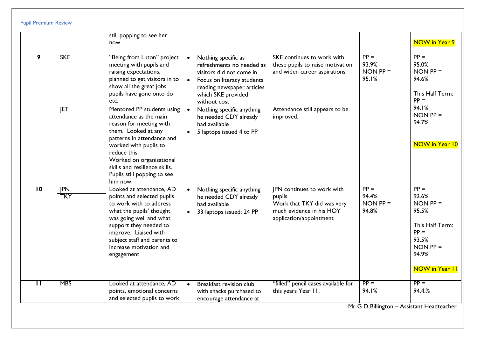|                 |                          | still popping to see her<br>now.                                                                                                                                                                                                                                                      |           |                                                                                                                                                                                |                                                                                                                                   |                                          | <b>NOW in Year 9</b>                                                                                                             |
|-----------------|--------------------------|---------------------------------------------------------------------------------------------------------------------------------------------------------------------------------------------------------------------------------------------------------------------------------------|-----------|--------------------------------------------------------------------------------------------------------------------------------------------------------------------------------|-----------------------------------------------------------------------------------------------------------------------------------|------------------------------------------|----------------------------------------------------------------------------------------------------------------------------------|
| 9               | <b>SKE</b>               | "Being from Luton" project<br>meeting with pupils and<br>raising expectations,<br>planned to get visitors in to<br>show all the great jobs<br>pupils have gone onto do<br>etc.                                                                                                        |           | Nothing specific as<br>refreshments no needed as<br>visitors did not come in<br>Focus on literacy students<br>reading newspaper articles<br>which SKE provided<br>without cost | SKE continues to work with<br>these pupils to raise motivation<br>and widen career aspirations                                    | $PP =$<br>93.9%<br>$NON$ $PP =$<br>95.1% | $PP =$<br>95.0%<br>$NON$ $PP =$<br>94.6%<br>This Half Term:<br>$PP =$                                                            |
|                 | JET                      | Mentored PP students using<br>attendance as the main<br>reason for meeting with<br>them. Looked at any<br>patterns in attendance and<br>worked with pupils to<br>reduce this.<br>Worked on organisational<br>skills and resilience skills.<br>Pupils still popping to see<br>him now. |           | Nothing specific anything<br>he needed CDY already<br>had available<br>5 laptops issued 4 to PP                                                                                | Attendance still appears to be<br>improved.                                                                                       |                                          | 94.1%<br>$NON$ $PP =$<br>94.7%<br><b>NOW in Year 10</b>                                                                          |
| $\overline{10}$ | <b>JPN</b><br><b>TKY</b> | Looked at attendance, AD<br>points and selected pupils<br>to work with to address<br>what the pupils' thought<br>was going well and what<br>support they needed to<br>improve. Liaised with<br>subject staff and parents to<br>increase motivation and<br>engagement                  | $\bullet$ | Nothing specific anything<br>he needed CDY already<br>had available<br>33 laptops issued; 24 PP                                                                                | <b>IPN</b> continues to work with<br>pupils.<br>Work that TKY did was very<br>much evidence in his HOY<br>application/appointment | $PP =$<br>94.4%<br>$NON$ $PP =$<br>94.8% | $PP =$<br>92.6%<br>$NON$ $PP =$<br>95.5%<br>This Half Term:<br>$PP =$<br>93.5%<br>$NON$ $PP =$<br>94.9%<br><b>NOW in Year II</b> |
| $\mathbf{H}$    | <b>MBS</b>               | Looked at attendance, AD<br>points, emotional concerns<br>and selected pupils to work                                                                                                                                                                                                 |           | Breakfast revision club<br>with snacks purchased to<br>encourage attendance at                                                                                                 | "filled" pencil cases available for<br>this years Year II.                                                                        | $PP =$<br>94.1%                          | $PP =$<br>94.4.%                                                                                                                 |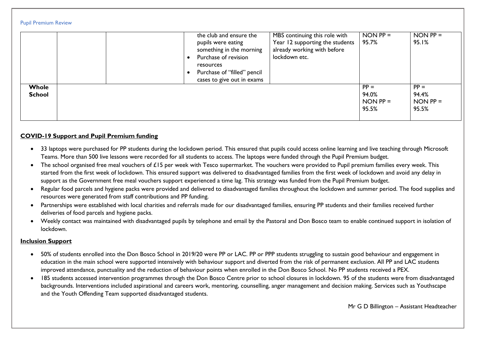|  | <b>Pupil Premium Review</b> |  |
|--|-----------------------------|--|
|--|-----------------------------|--|

|                        | MBS continuing this role with<br>the club and ensure the<br>Year 12 supporting the students<br>pupils were eating<br>already working with before<br>something in the morning<br>lockdown etc.<br>Purchase of revision<br>resources<br>Purchase of "filled" pencil<br>cases to give out in exams | $NON PP =$<br>95.7%                    | $NON PP =$<br>95.1%                    |
|------------------------|-------------------------------------------------------------------------------------------------------------------------------------------------------------------------------------------------------------------------------------------------------------------------------------------------|----------------------------------------|----------------------------------------|
| Whole<br><b>School</b> |                                                                                                                                                                                                                                                                                                 | $PP =$<br>94.0%<br>$NON PP =$<br>95.5% | $PP =$<br>94.4%<br>$NON PP =$<br>95.5% |

## **COVID-19 Support and Pupil Premium funding**

- 33 laptops were purchased for PP students during the lockdown period. This ensured that pupils could access online learning and live teaching through Microsoft Teams. More than 500 live lessons were recorded for all students to access. The laptops were funded through the Pupil Premium budget.
- The school organised free meal vouchers of £15 per week with Tesco supermarket. The vouchers were provided to Pupil premium families every week. This started from the first week of lockdown. This ensured support was delivered to disadvantaged families from the first week of lockdown and avoid any delay in support as the Government free meal vouchers support experienced a time lag. This strategy was funded from the Pupil Premium budget.
- Regular food parcels and hygiene packs were provided and delivered to disadvantaged families throughout the lockdown and summer period. The food supplies and resources were generated from staff contributions and PP funding.
- Partnerships were established with local charities and referrals made for our disadvantaged families, ensuring PP students and their families received further deliveries of food parcels and hygiene packs.
- Weekly contact was maintained with disadvantaged pupils by telephone and email by the Pastoral and Don Bosco team to enable continued support in isolation of lockdown.

### **Inclusion Support**

- 50% of students enrolled into the Don Bosco School in 2019/20 were PP or LAC. PP or PPP students struggling to sustain good behaviour and engagement in education in the main school were supported intensively with behaviour support and diverted from the risk of permanent exclusion. All PP and LAC students improved attendance, punctuality and the reduction of behaviour points when enrolled in the Don Bosco School. No PP students received a PEX.
- 185 students accessed intervention programmes through the Don Bosco Centre prior to school closures in lockdown. 95 of the students were from disadvantaged backgrounds. Interventions included aspirational and careers work, mentoring, counselling, anger management and decision making. Services such as Youthscape and the Youth Offending Team supported disadvantaged students.